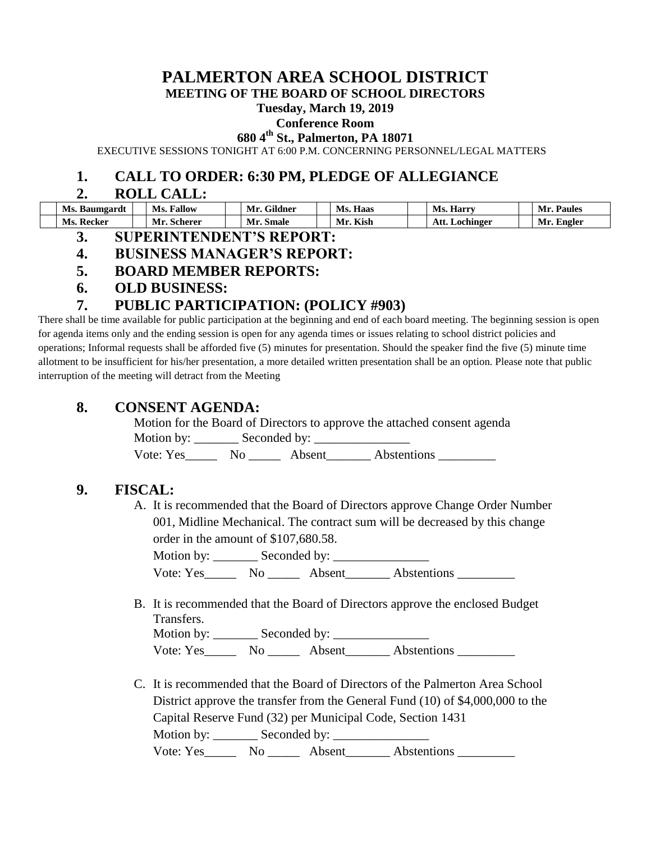# **PALMERTON AREA SCHOOL DISTRICT**

**MEETING OF THE BOARD OF SCHOOL DIRECTORS**

#### **Tuesday, March 19, 2019**

#### **Conference Room**

**680 4th St., Palmerton, PA 18071**

EXECUTIVE SESSIONS TONIGHT AT 6:00 P.M. CONCERNING PERSONNEL/LEGAL MATTERS

### **1. CALL TO ORDER: 6:30 PM, PLEDGE OF ALLEGIANCE**

#### **2. ROLL CALL:**

| Ms. Baumgardt | <b>Fallow</b><br>Ms. | <b>Gildner</b><br>Mr. | Haas<br>Ms. | <b>Ms. Harry</b>    | Mr. Paules |
|---------------|----------------------|-----------------------|-------------|---------------------|------------|
| Ms. Recker    | Mr.<br>. Scherer     | Mr.<br>Smale          | Kish<br>Mr  | Att.<br>. Lochinger | Mr. Engler |

- **3. SUPERINTENDENT'S REPORT:**
- **4. BUSINESS MANAGER'S REPORT:**
- **5. BOARD MEMBER REPORTS:**
- **6. OLD BUSINESS:**

## **7. PUBLIC PARTICIPATION: (POLICY #903)**

There shall be time available for public participation at the beginning and end of each board meeting. The beginning session is open for agenda items only and the ending session is open for any agenda times or issues relating to school district policies and operations; Informal requests shall be afforded five (5) minutes for presentation. Should the speaker find the five (5) minute time allotment to be insufficient for his/her presentation, a more detailed written presentation shall be an option. Please note that public interruption of the meeting will detract from the Meeting

## **8. CONSENT AGENDA:**

Motion for the Board of Directors to approve the attached consent agenda Motion by:  $\_\_\_\_\$  Seconded by:  $\_\_\_\_\_\_\_\_\_\_\$ Vote: Yes\_\_\_\_\_\_\_\_\_ No \_\_\_\_\_\_\_\_ Absent\_\_\_\_\_\_\_\_ Abstentions

# **9. FISCAL:**

A. It is recommended that the Board of Directors approve Change Order Number 001, Midline Mechanical. The contract sum will be decreased by this change order in the amount of \$107,680.58.

Motion by: Seconded by: Vote: Yes\_\_\_\_\_\_\_\_ No \_\_\_\_\_\_\_\_ Absent\_\_\_\_\_\_\_\_\_ Abstentions \_\_\_\_\_\_\_

B. It is recommended that the Board of Directors approve the enclosed Budget Transfers.

Motion by: \_\_\_\_\_\_\_ Seconded by: \_\_\_\_\_\_\_\_\_\_\_\_\_\_\_ Vote: Yes\_\_\_\_\_\_\_ No \_\_\_\_\_\_ Absent\_\_\_\_\_\_\_ Abstentions \_\_\_\_\_\_\_\_\_\_\_\_\_\_\_\_\_\_\_\_\_\_\_\_\_\_\_

C. It is recommended that the Board of Directors of the Palmerton Area School District approve the transfer from the General Fund (10) of \$4,000,000 to the Capital Reserve Fund (32) per Municipal Code, Section 1431 Motion by: \_\_\_\_\_\_\_\_\_ Seconded by: \_\_\_\_\_\_\_\_\_ Vote: Yes\_\_\_\_\_\_\_ No \_\_\_\_\_\_ Absent\_\_\_\_\_\_\_ Abstentions \_\_\_\_\_\_\_\_\_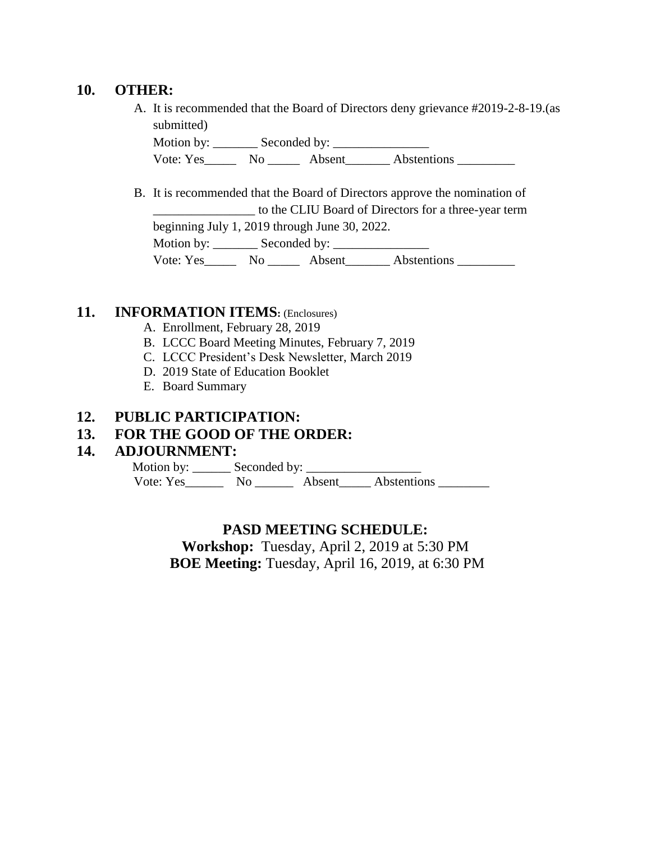#### **10. OTHER:**

A. It is recommended that the Board of Directors deny grievance #2019-2-8-19.(as submitted)

Motion by: \_\_\_\_\_\_\_ Seconded by: \_\_\_\_\_\_\_\_\_\_\_\_\_\_\_ Vote: Yes\_\_\_\_\_\_\_ No \_\_\_\_\_\_\_ Absent\_\_\_\_\_\_\_ Abstentions \_\_\_\_\_\_\_\_\_\_\_\_\_\_\_\_\_\_\_\_\_\_\_\_\_\_

B. It is recommended that the Board of Directors approve the nomination of \_\_\_\_\_\_\_\_\_\_\_\_\_\_\_\_ to the CLIU Board of Directors for a three-year term beginning July 1, 2019 through June 30, 2022. Motion by: \_\_\_\_\_\_\_ Seconded by: \_\_\_\_\_\_\_\_\_\_\_\_\_\_\_ Vote: Yes\_\_\_\_\_\_\_ No \_\_\_\_\_\_\_ Absent\_\_\_\_\_\_\_\_ Abstentions \_\_\_\_\_\_\_\_\_\_

## **11. INFORMATION ITEMS:** (Enclosures)

- A. Enrollment, February 28, 2019
- B. LCCC Board Meeting Minutes, February 7, 2019
- C. LCCC President's Desk Newsletter, March 2019
- D. 2019 State of Education Booklet
- E. Board Summary

#### **12. PUBLIC PARTICIPATION:**

#### **13. FOR THE GOOD OF THE ORDER:**

#### **14. ADJOURNMENT:**

Motion by: \_\_\_\_\_\_\_\_ Seconded by: \_\_\_\_\_\_\_ Vote: Yes\_\_\_\_\_\_\_\_ No \_\_\_\_\_\_\_\_ Absent\_\_\_\_\_ Abstentions \_\_\_\_\_\_\_\_

#### **PASD MEETING SCHEDULE:**

**Workshop:** Tuesday, April 2, 2019 at 5:30 PM **BOE Meeting:** Tuesday, April 16, 2019, at 6:30 PM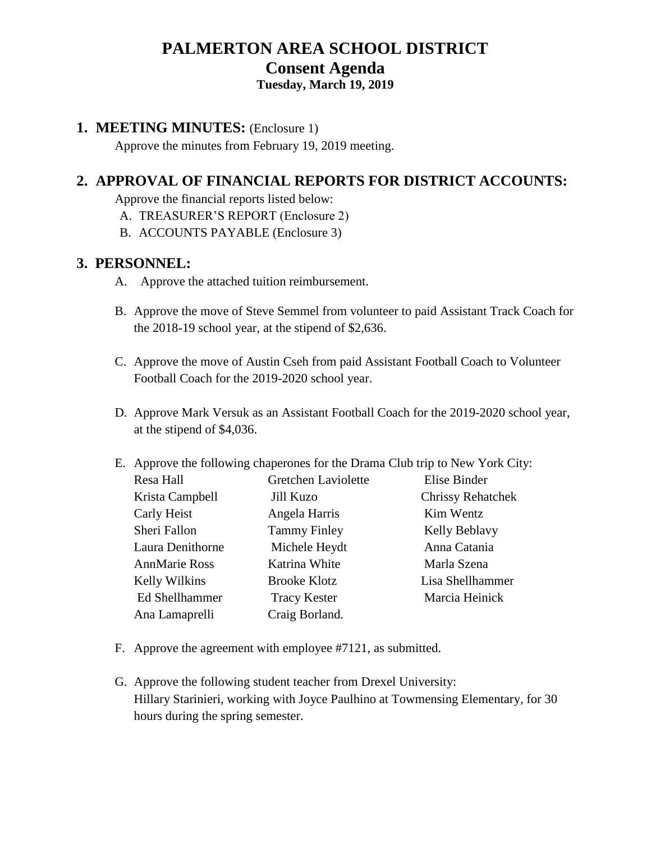# **PALMERTON AREA SCHOOL DISTRICT Consent Agenda**

# **Tuesday, March 19, 2019**

#### **1. MEETING MINUTES:** (Enclosure 1)

Approve the minutes from February 19, 2019 meeting.

# **2. APPROVAL OF FINANCIAL REPORTS FOR DISTRICT ACCOUNTS:**

Approve the financial reports listed below:

- A. TREASURER'S REPORT (Enclosure 2)
- B. ACCOUNTS PAYABLE (Enclosure 3)

## **3. PERSONNEL:**

- A. Approve the attached tuition reimbursement.
- B. Approve the move of Steve Semmel from volunteer to paid Assistant Track Coach for the 2018-19 school year, at the stipend of \$2,636.
- C. Approve the move of Austin Cseh from paid Assistant Football Coach to Volunteer Football Coach for the 2019-2020 school year.
- D. Approve Mark Versuk as an Assistant Football Coach for the 2019-2020 school year, at the stipend of \$4,036.
- E. Approve the following chaperones for the Drama Club trip to New York City:

| Resa Hall             | Gretchen Laviolette | Elise Binder             |
|-----------------------|---------------------|--------------------------|
| Krista Campbell       | Jill Kuzo           | <b>Chrissy Rehatchek</b> |
| Carly Heist           | Angela Harris       | Kim Wentz                |
| Sheri Fallon          | <b>Tammy Finley</b> | Kelly Beblavy            |
| Laura Denithorne      | Michele Heydt       | Anna Catania             |
| <b>AnnMarie Ross</b>  | Katrina White       | Marla Szena              |
| <b>Kelly Wilkins</b>  | <b>Brooke Klotz</b> | Lisa Shellhammer         |
| <b>Ed Shellhammer</b> | <b>Tracy Kester</b> | Marcia Heinick           |
| Ana Lamaprelli        | Craig Borland.      |                          |

- F. Approve the agreement with employee #7121, as submitted.
- G. Approve the following student teacher from Drexel University: Hillary Starinieri, working with Joyce Paulhino at Towmensing Elementary, for 30 hours during the spring semester.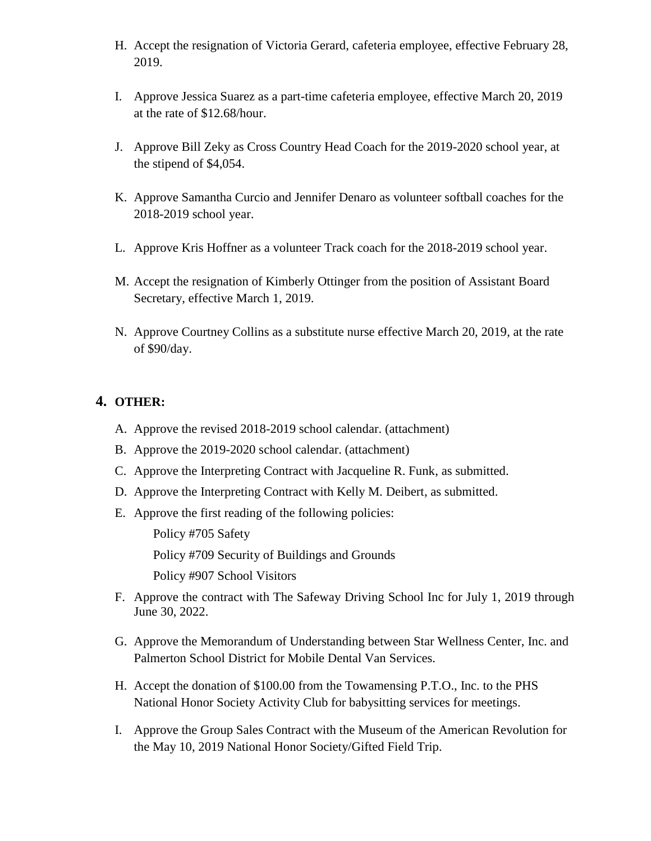- H. Accept the resignation of Victoria Gerard, cafeteria employee, effective February 28, 2019.
- I. Approve Jessica Suarez as a part-time cafeteria employee, effective March 20, 2019 at the rate of \$12.68/hour.
- J. Approve Bill Zeky as Cross Country Head Coach for the 2019-2020 school year, at the stipend of \$4,054.
- K. Approve Samantha Curcio and Jennifer Denaro as volunteer softball coaches for the 2018-2019 school year.
- L. Approve Kris Hoffner as a volunteer Track coach for the 2018-2019 school year.
- M. Accept the resignation of Kimberly Ottinger from the position of Assistant Board Secretary, effective March 1, 2019.
- N. Approve Courtney Collins as a substitute nurse effective March 20, 2019, at the rate of \$90/day.

## **4. OTHER:**

- A. Approve the revised 2018-2019 school calendar. (attachment)
- B. Approve the 2019-2020 school calendar. (attachment)
- C. Approve the Interpreting Contract with Jacqueline R. Funk, as submitted.
- D. Approve the Interpreting Contract with Kelly M. Deibert, as submitted.
- E. Approve the first reading of the following policies:

Policy #705 Safety

Policy #709 Security of Buildings and Grounds

Policy #907 School Visitors

- F. Approve the contract with The Safeway Driving School Inc for July 1, 2019 through June 30, 2022.
- G. Approve the Memorandum of Understanding between Star Wellness Center, Inc. and Palmerton School District for Mobile Dental Van Services.
- H. Accept the donation of \$100.00 from the Towamensing P.T.O., Inc. to the PHS National Honor Society Activity Club for babysitting services for meetings.
- I. Approve the Group Sales Contract with the Museum of the American Revolution for the May 10, 2019 National Honor Society/Gifted Field Trip.